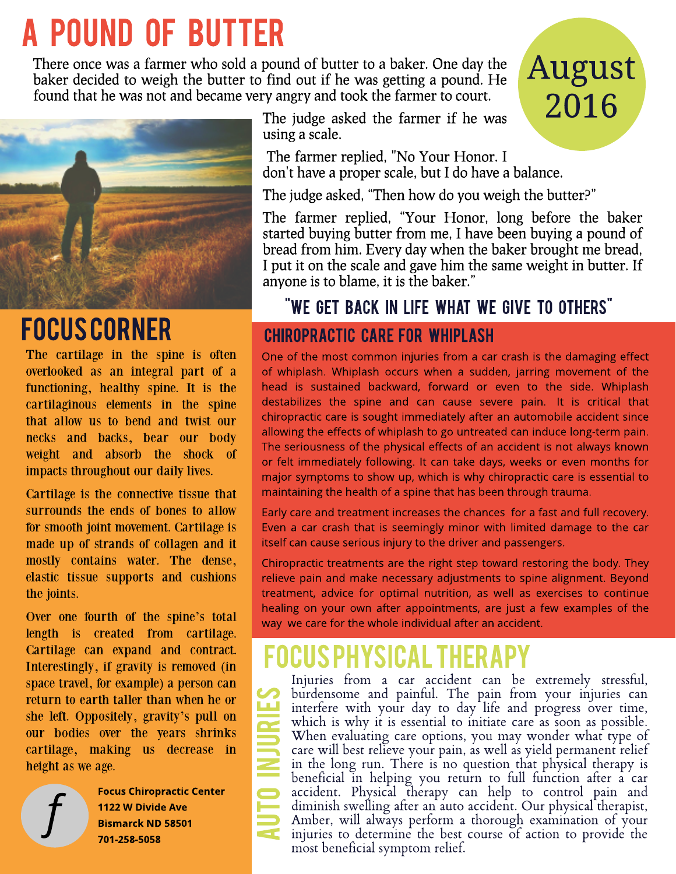# A POUND OF BUTTER

There once was a farmer who sold a pound of butter to a baker. One day the baker decided to weigh the butter to find out if he was getting a pound. He found that he was not and became very angry and took the farmer to court.



## FOCUSCORNER

The cartilage in the spine is often overlooked as an integral part of a functioning, healthy spine. It is the cartilaginous elements in the spine that allow us to bend and twist our necks and backs, bear our body weight and absorb the shock of impacts throughout our daily lives.

Cartilage is the connective tissue that surrounds the ends of bones to allow for smooth joint movement. Cartilage is made up of strands of collagen and it mostly contains water. The dense, elastic tissue supports and cushions the joints.

Over one fourth of the spine?s total length is created from cartilage. Cartilage can expand and contract. Interestingly, if gravity is removed (in space travel, for example) a person can return to earth taller than when he or she left. Oppositely, gravity?s pull on our bodies over the years shrinks cartilage, making us decrease in height as we age.



**Focus Chiropractic Center** 1122 W Divide Ave **Bismarck ND 58501** 701-258-5058

A

The judge asked the farmer if he was using a scale.

The farmer replied, "No Your Honor. I don't have a proper scale, but I do have a balance.

The judge asked, "Then how do you weigh the butter?"

The farmer replied, "Your Honor, long before the baker started buying butter from me, I have been buying a pound of bread from him. Every day when the baker brought me bread, I put it on the scale and gave him the same weight in butter. If anyone is to blame, it is the baker."

August

2016

## "WE GET BACK IN LIFE WHAT WE GIVE TO OTHERS"

## CHIROPRACTIC CARE FOR WHIPLASH

One of the most common injuries from a car crash is the damaging effect of whiplash. Whiplash occurs when a sudden, jarring movement of the head is sustained backward, forward or even to the side. Whiplash destabilizes the spine and can cause severe pain. It is critical that chiropractic care is sought immediately after an automobile accident since allowing the effects of whiplash to go untreated can induce long-term pain. The seriousness of the physical effects of an accident is not always known or felt immediately following. It can take days, weeks or even months for major symptoms to show up, which is why chiropractic care is essential to maintaining the health of a spine that has been through trauma.

Early care and treatment increases the chances for a fast and full recovery. Even a car crash that is seemingly minor with limited damage to the car itself can cause serious injury to the driver and passengers.

Chiropractic treatments are the right step toward restoring the body. They relieve pain and make necessary adjustments to spine alignment. Beyond treatment, advice for optimal nutrition, as well as exercises to continue healing on your own after appointments, are just a few examples of the way we care for the whole individual after an accident.

## FOCUSPHYSICALTHERAPY

 most beneficial symptom relief. N<br>UTO<br>UTO URIES Injuries from a car accident can be extremely stressful, burdensome and painful. The pain from your injuries can interfere with your day to day life and progress over time, which is why it is essential to initiate care as soon as possible. When evaluating care options, you may wonder what type of care will best relieve your pain, as well as yield permanent relief in the long run. There is no question that physical therapy is beneficial in helping you return to full function after a car accident. Physical therapy can help to control pain and diminish swelling after an auto accident. Our physical therapist, Amber, will always perform a thorough examination of your injuries to determine the best course of action to provide the